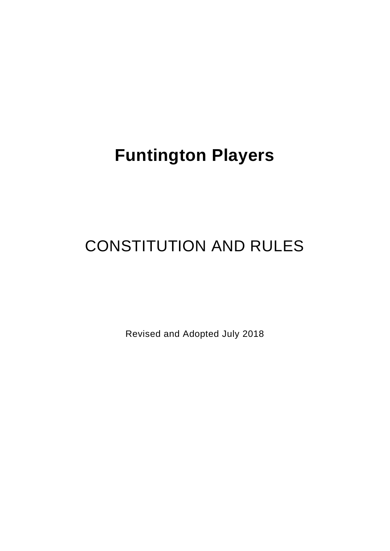# **Funtington Players**

# CONSTITUTION AND RULES

Revised and Adopted July 2018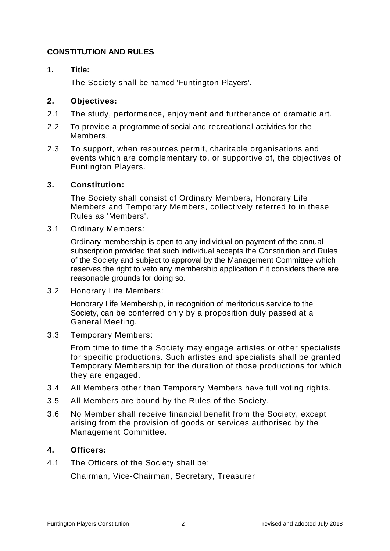# **CONSTITUTION AND RULES**

## **1. Title:**

The Society shall be named 'Funtington Players'.

## **2. Objectives:**

- 2.1 The study, performance, enjoyment and furtherance of dramatic art.
- 2.2 To provide a programme of social and recreational activities for the Members.
- 2.3 To support, when resources permit, charitable organisations and events which are complementary to, or supportive of, the objectives of Funtington Players.

## **3. Constitution:**

The Society shall consist of Ordinary Members, Honorary Life Members and Temporary Members, collectively referred to in these Rules as 'Members'.

#### 3.1 Ordinary Members:

Ordinary membership is open to any individual on payment of the annual subscription provided that such individual accepts the Constitution and Rules of the Society and subject to approval by the Management Committee which reserves the right to veto any membership application if it considers there are reasonable grounds for doing so.

#### 3.2 Honorary Life Members:

Honorary Life Membership, in recognition of meritorious service to the Society, can be conferred only by a proposition duly passed at a General Meeting.

#### 3.3 Temporary Members:

From time to time the Society may engage artistes or other specialists for specific productions. Such artistes and specialists shall be granted Temporary Membership for the duration of those productions for which they are engaged.

- 3.4 All Members other than Temporary Members have full voting rights.
- 3.5 All Members are bound by the Rules of the Society.
- 3.6 No Member shall receive financial benefit from the Society, except arising from the provision of goods or services authorised by the Management Committee.

#### **4. Officers:**

4.1 The Officers of the Society shall be: Chairman, Vice-Chairman, Secretary, Treasurer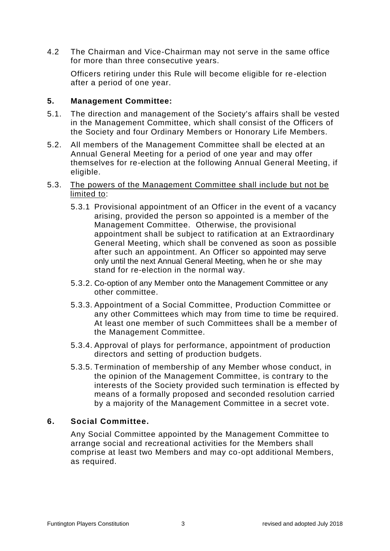4.2 The Chairman and Vice-Chairman may not serve in the same office for more than three consecutive years.

Officers retiring under this Rule will become eligible for re-election after a period of one year.

## **5. Management Committee:**

- 5.1. The direction and management of the Society's affairs shall be vested in the Management Committee, which shall consist of the Officers of the Society and four Ordinary Members or Honorary Life Members.
- 5.2. All members of the Management Committee shall be elected at an Annual General Meeting for a period of one year and may offer themselves for re-election at the following Annual General Meeting, if eligible.
- 5.3. The powers of the Management Committee shall include but not be limited to:
	- 5.3.1 Provisional appointment of an Officer in the event of a vacancy arising, provided the person so appointed is a member of the Management Committee. Otherwise, the provisional appointment shall be subject to ratification at an Extraordinary General Meeting, which shall be convened as soon as possible after such an appointment. An Officer so appointed may serve only until the next Annual General Meeting, when he or she may stand for re-election in the normal way.
	- 5.3.2. Co-option of any Member onto the Management Committee or any other committee.
	- 5.3.3. Appointment of a Social Committee, Production Committee or any other Committees which may from time to time be required. At least one member of such Committees shall be a member of the Management Committee.
	- 5.3.4. Approval of plays for performance, appointment of production directors and setting of production budgets.
	- 5.3.5. Termination of membership of any Member whose conduct, in the opinion of the Management Committee, is contrary to the interests of the Society provided such termination is effected by means of a formally proposed and seconded resolution carried by a majority of the Management Committee in a secret vote.

#### **6. Social Committee.**

Any Social Committee appointed by the Management Committee to arrange social and recreational activities for the Members shall comprise at least two Members and may co-opt additional Members, as required.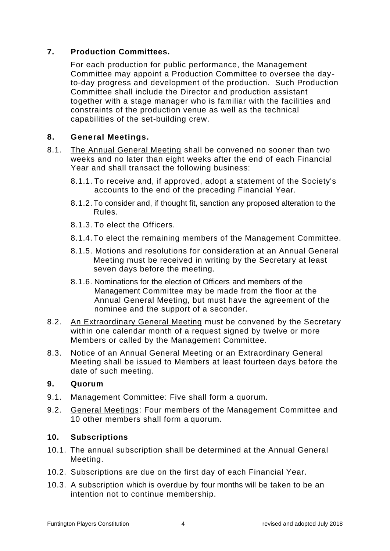# **7. Production Committees.**

For each production for public performance, the Management Committee may appoint a Production Committee to oversee the dayto-day progress and development of the production. Such Production Committee shall include the Director and production assistant together with a stage manager who is familiar with the facilities and constraints of the production venue as well as the technical capabilities of the set-building crew.

## **8. General Meetings.**

- 8.1. The Annual General Meeting shall be convened no sooner than two weeks and no later than eight weeks after the end of each Financial Year and shall transact the following business:
	- 8.1.1. To receive and, if approved, adopt a statement of the Society's accounts to the end of the preceding Financial Year.
	- 8.1.2. To consider and, if thought fit, sanction any proposed alteration to the Rules.
	- 8.1.3. To elect the Officers.
	- 8.1.4. To elect the remaining members of the Management Committee.
	- 8.1.5. Motions and resolutions for consideration at an Annual General Meeting must be received in writing by the Secretary at least seven days before the meeting.
	- 8.1.6. Nominations for the election of Officers and members of the Management Committee may be made from the floor at the Annual General Meeting, but must have the agreement of the nominee and the support of a seconder.
- 8.2. An Extraordinary General Meeting must be convened by the Secretary within one calendar month of a request signed by twelve or more Members or called by the Management Committee.
- 8.3. Notice of an Annual General Meeting or an Extraordinary General Meeting shall be issued to Members at least fourteen days before the date of such meeting.

# **9. Quorum**

- 9.1. Management Committee: Five shall form a quorum.
- 9.2. General Meetings: Four members of the Management Committee and 10 other members shall form a quorum.

# **10. Subscriptions**

- 10.1. The annual subscription shall be determined at the Annual General Meeting.
- 10.2. Subscriptions are due on the first day of each Financial Year.
- 10.3. A subscription which is overdue by four months will be taken to be an intention not to continue membership.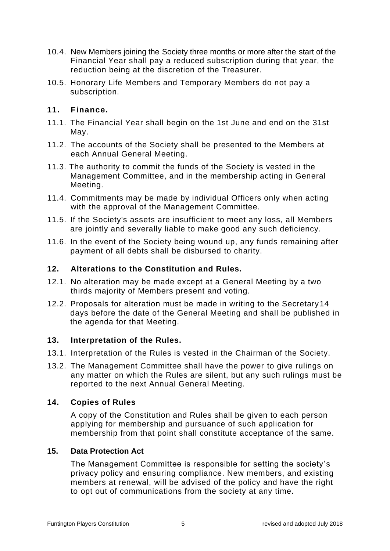- 10.4. New Members joining the Society three months or more after the start of the Financial Year shall pay a reduced subscription during that year, the reduction being at the discretion of the Treasurer.
- 10.5. Honorary Life Members and Temporary Members do not pay a subscription.

## **11. Finance.**

- 11.1. The Financial Year shall begin on the 1st June and end on the 31st May.
- 11.2. The accounts of the Society shall be presented to the Members at each Annual General Meeting.
- 11.3. The authority to commit the funds of the Society is vested in the Management Committee, and in the membership acting in General Meeting.
- 11.4. Commitments may be made by individual Officers only when acting with the approval of the Management Committee.
- 11.5. If the Society's assets are insufficient to meet any loss, all Members are jointly and severally liable to make good any such deficiency.
- 11.6. In the event of the Society being wound up, any funds remaining after payment of all debts shall be disbursed to charity.

# **12. Alterations to the Constitution and Rules.**

- 12.1. No alteration may be made except at a General Meeting by a two thirds majority of Members present and voting.
- 12.2. Proposals for alteration must be made in writing to the Secretary14 days before the date of the General Meeting and shall be published in the agenda for that Meeting.

#### **13. Interpretation of the Rules.**

- 13.1. Interpretation of the Rules is vested in the Chairman of the Society.
- 13.2. The Management Committee shall have the power to give rulings on any matter on which the Rules are silent, but any such rulings must be reported to the next Annual General Meeting.

#### **14. Copies of Rules**

A copy of the Constitution and Rules shall be given to each person applying for membership and pursuance of such application for membership from that point shall constitute acceptance of the same.

#### **15. Data Protection Act**

The Management Committee is responsible for setting the society's privacy policy and ensuring compliance. New members, and existing members at renewal, will be advised of the policy and have the right to opt out of communications from the society at any time.